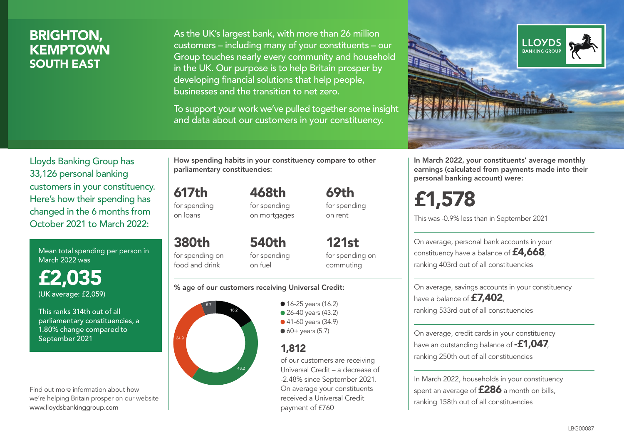# BRIGHTON, **KEMPTOWN** SOUTH EAST

As the UK's largest bank, with more than 26 million customers – including many of your constituents – our Group touches nearly every community and household in the UK. Our purpose is to help Britain prosper by developing financial solutions that help people, businesses and the transition to net zero.

To support your work we've pulled together some insight and data about our customers in your constituency.



Lloyds Banking Group has 33,126 personal banking customers in your constituency. Here's how their spending has changed in the 6 months from October 2021 to March 2022:

Mean total spending per person in March 2022 was

£2,035 (UK average: £2,059)

This ranks 314th out of all parliamentary constituencies, a 1.80% change compared to September 2021

Find out more information about how we're helping Britain prosper on our website www.lloydsbankinggroup.com

How spending habits in your constituency compare to other parliamentary constituencies:

617th for spending

on loans

468th for spending on mortgages 69th for spending on rent

380th for spending on food and drink 540th for spending on fuel

121st for spending on commuting

#### % age of our customers receiving Universal Credit:



• 16-25 years (16.2) • 26-40 years (43.2) ● 41-60 years (34.9)  $60+$  years (5.7)

## 1,812

of our customers are receiving Universal Credit – a decrease of -2.48% since September 2021. On average your constituents received a Universal Credit payment of £760

In March 2022, your constituents' average monthly earnings (calculated from payments made into their personal banking account) were:

£1,578

This was -0.9% less than in September 2021

On average, personal bank accounts in your constituency have a balance of £4,668, ranking 403rd out of all constituencies

On average, savings accounts in your constituency have a balance of **£7,402** ranking 533rd out of all constituencies

On average, credit cards in your constituency have an outstanding balance of  $-$ £1,047 ranking 250th out of all constituencies

In March 2022, households in your constituency spent an average of **£286** a month on bills, ranking 158th out of all constituencies